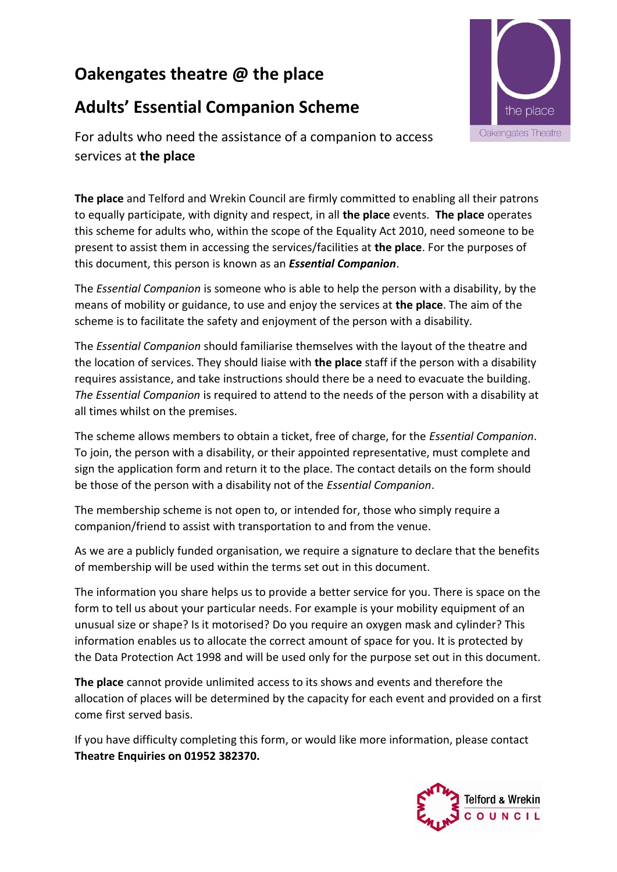## **Oakengates theatre @ the place**

## **Adults' Essential Companion Scheme**



For adults who need the assistance of a companion to access services at **the place**

**The place** and Telford and Wrekin Council are firmly committed to enabling all their patrons to equally participate, with dignity and respect, in all **the place** events. **The place** operates this scheme for adults who, within the scope of the Equality Act 2010, need someone to be present to assist them in accessing the services/facilities at **the place**. For the purposes of this document, this person is known as an *Essential Companion*.

The *Essential Companion* is someone who is able to help the person with a disability, by the means of mobility or guidance, to use and enjoy the services at **the place**. The aim of the scheme is to facilitate the safety and enjoyment of the person with a disability.

The *Essential Companion* should familiarise themselves with the layout of the theatre and the location of services. They should liaise with **the place** staff if the person with a disability requires assistance, and take instructions should there be a need to evacuate the building. *The Essential Companion* is required to attend to the needs of the person with a disability at all times whilst on the premises.

The scheme allows members to obtain a ticket, free of charge, for the *Essential Companion*. To join, the person with a disability, or their appointed representative, must complete and sign the application form and return it to the place. The contact details on the form should be those of the person with a disability not of the *Essential Companion*.

The membership scheme is not open to, or intended for, those who simply require a companion/friend to assist with transportation to and from the venue.

As we are a publicly funded organisation, we require a signature to declare that the benefits of membership will be used within the terms set out in this document.

The information you share helps us to provide a better service for you. There is space on the form to tell us about your particular needs. For example is your mobility equipment of an unusual size or shape? Is it motorised? Do you require an oxygen mask and cylinder? This information enables us to allocate the correct amount of space for you. It is protected by the Data Protection Act 1998 and will be used only for the purpose set out in this document.

**The place** cannot provide unlimited access to its shows and events and therefore the allocation of places will be determined by the capacity for each event and provided on a first come first served basis.

If you have difficulty completing this form, or would like more information, please contact **Theatre Enquiries on 01952 382370.**